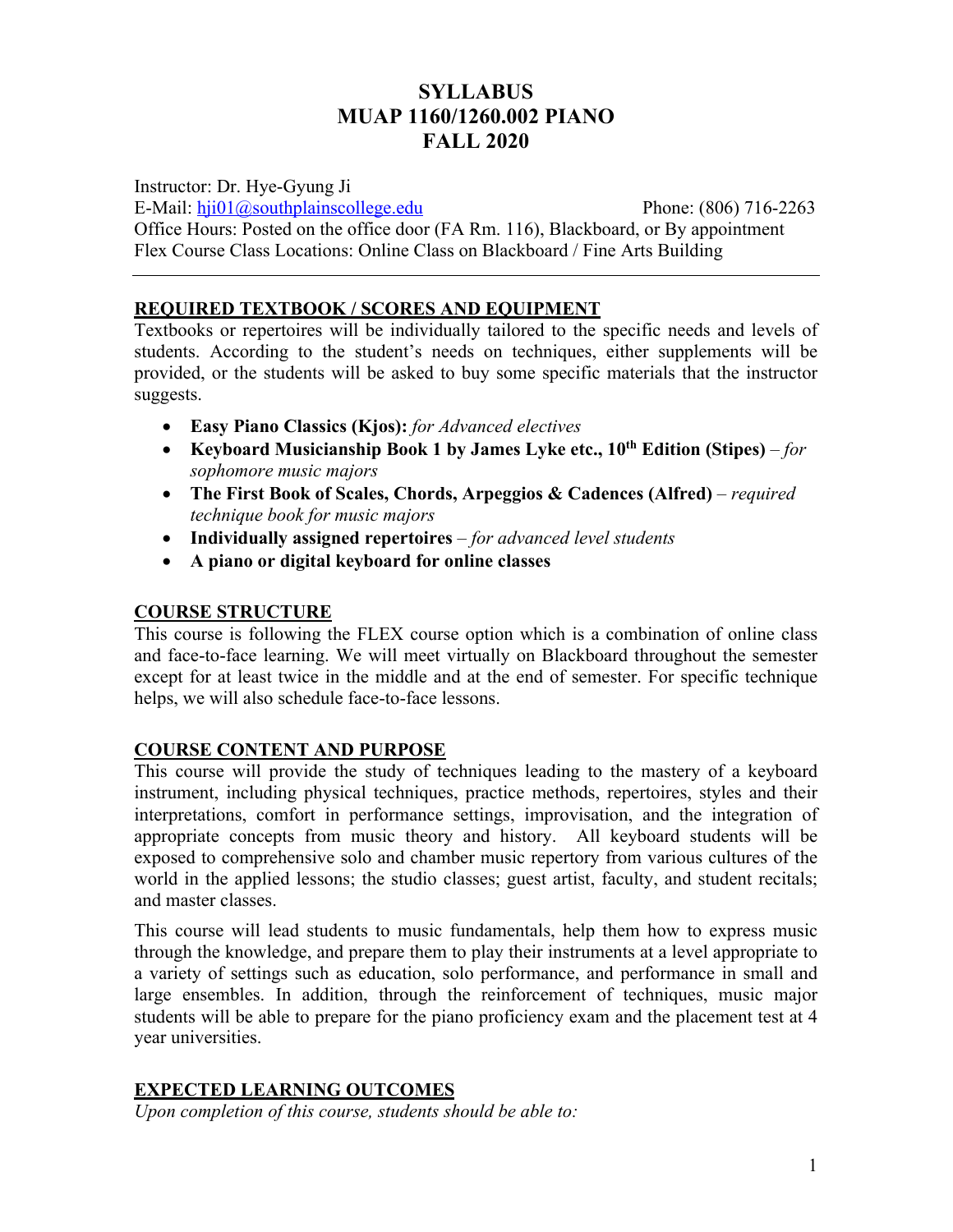# **SYLLABUS MUAP 1160/1260.002 PIANO FALL 2020**

Instructor: Dr. Hye-Gyung Ji

E-Mail: hji01@southplainscollege.edu Phone: (806) 716-2263

Office Hours: Posted on the office door (FA Rm. 116), Blackboard, or By appointment

Flex Course Class Locations: Online Class on Blackboard / Fine Arts Building

# **REQUIRED TEXTBOOK / SCORES AND EQUIPMENT**

Textbooks or repertoires will be individually tailored to the specific needs and levels of students. According to the student's needs on techniques, either supplements will be provided, or the students will be asked to buy some specific materials that the instructor suggests.

- **Easy Piano Classics (Kjos):** *for Advanced electives*
- **Keyboard Musicianship Book 1 by James Lyke etc., 10th Edition (Stipes)** *– for sophomore music majors*
- **The First Book of Scales, Chords, Arpeggios & Cadences (Alfred)** *required technique book for music majors*
- **Individually assigned repertoires**  *for advanced level students*
- **A piano or digital keyboard for online classes**

## **COURSE STRUCTURE**

This course is following the FLEX course option which is a combination of online class and face-to-face learning. We will meet virtually on Blackboard throughout the semester except for at least twice in the middle and at the end of semester. For specific technique helps, we will also schedule face-to-face lessons.

## **COURSE CONTENT AND PURPOSE**

This course will provide the study of techniques leading to the mastery of a keyboard instrument, including physical techniques, practice methods, repertoires, styles and their interpretations, comfort in performance settings, improvisation, and the integration of appropriate concepts from music theory and history. All keyboard students will be exposed to comprehensive solo and chamber music repertory from various cultures of the world in the applied lessons; the studio classes; guest artist, faculty, and student recitals; and master classes.

This course will lead students to music fundamentals, help them how to express music through the knowledge, and prepare them to play their instruments at a level appropriate to a variety of settings such as education, solo performance, and performance in small and large ensembles. In addition, through the reinforcement of techniques, music major students will be able to prepare for the piano proficiency exam and the placement test at 4 year universities.

## **EXPECTED LEARNING OUTCOMES**

*Upon completion of this course, students should be able to:*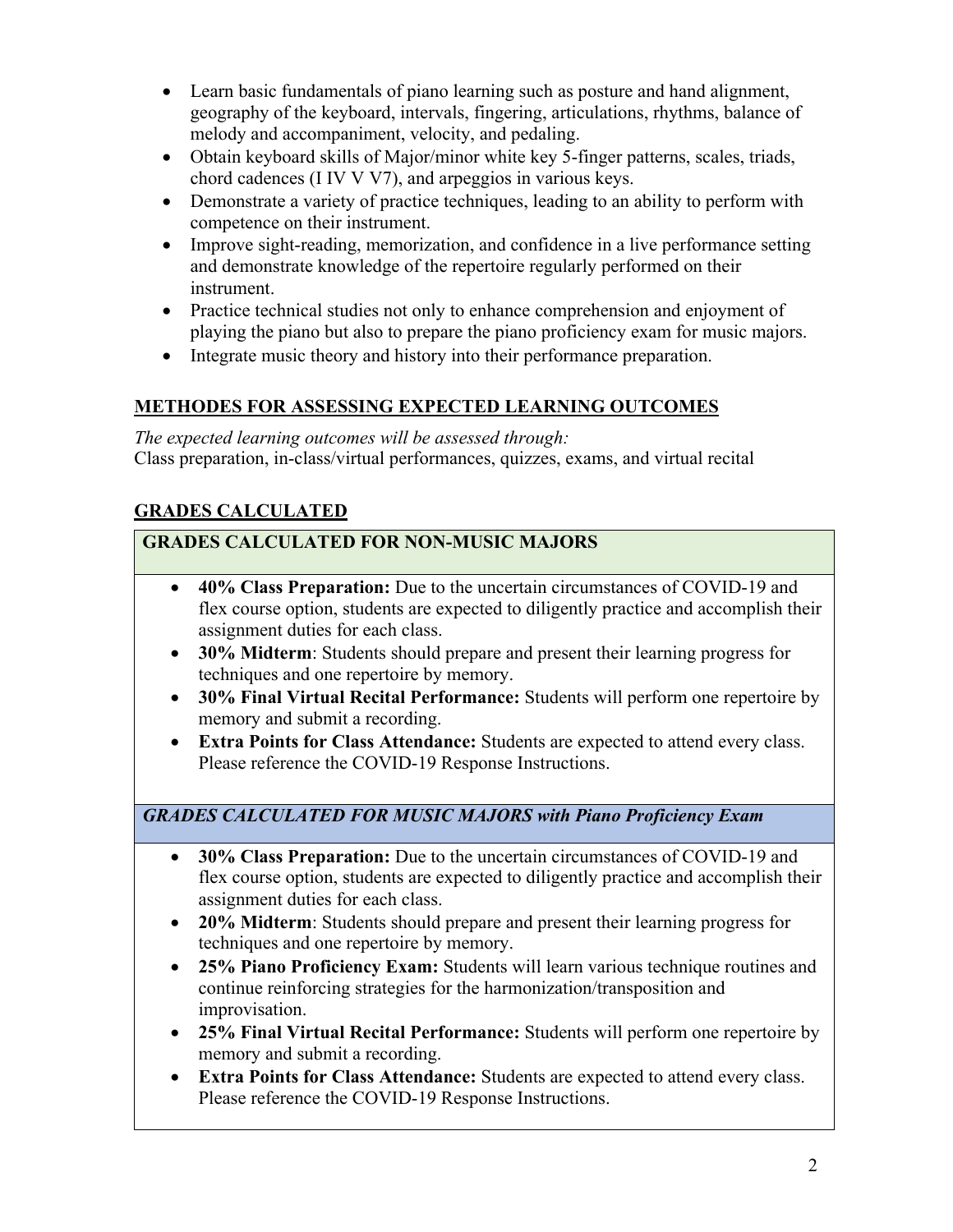- Learn basic fundamentals of piano learning such as posture and hand alignment, geography of the keyboard, intervals, fingering, articulations, rhythms, balance of melody and accompaniment, velocity, and pedaling.
- Obtain keyboard skills of Major/minor white key 5-finger patterns, scales, triads, chord cadences (I IV V V7), and arpeggios in various keys.
- Demonstrate a variety of practice techniques, leading to an ability to perform with competence on their instrument.
- Improve sight-reading, memorization, and confidence in a live performance setting and demonstrate knowledge of the repertoire regularly performed on their instrument.
- Practice technical studies not only to enhance comprehension and enjoyment of playing the piano but also to prepare the piano proficiency exam for music majors.
- Integrate music theory and history into their performance preparation.

# **METHODES FOR ASSESSING EXPECTED LEARNING OUTCOMES**

*The expected learning outcomes will be assessed through:* Class preparation, in-class/virtual performances, quizzes, exams, and virtual recital

# **GRADES CALCULATED**

# **GRADES CALCULATED FOR NON-MUSIC MAJORS**

- **40% Class Preparation:** Due to the uncertain circumstances of COVID-19 and flex course option, students are expected to diligently practice and accomplish their assignment duties for each class.
- **30% Midterm**: Students should prepare and present their learning progress for techniques and one repertoire by memory.
- **30% Final Virtual Recital Performance:** Students will perform one repertoire by memory and submit a recording.
- **Extra Points for Class Attendance:** Students are expected to attend every class. Please reference the COVID-19 Response Instructions.

# *GRADES CALCULATED FOR MUSIC MAJORS with Piano Proficiency Exam*

- **30% Class Preparation:** Due to the uncertain circumstances of COVID-19 and flex course option, students are expected to diligently practice and accomplish their assignment duties for each class.
- **20% Midterm**: Students should prepare and present their learning progress for techniques and one repertoire by memory.
- **25% Piano Proficiency Exam:** Students will learn various technique routines and continue reinforcing strategies for the harmonization/transposition and improvisation.
- **25% Final Virtual Recital Performance:** Students will perform one repertoire by memory and submit a recording.
- **Extra Points for Class Attendance:** Students are expected to attend every class. Please reference the COVID-19 Response Instructions.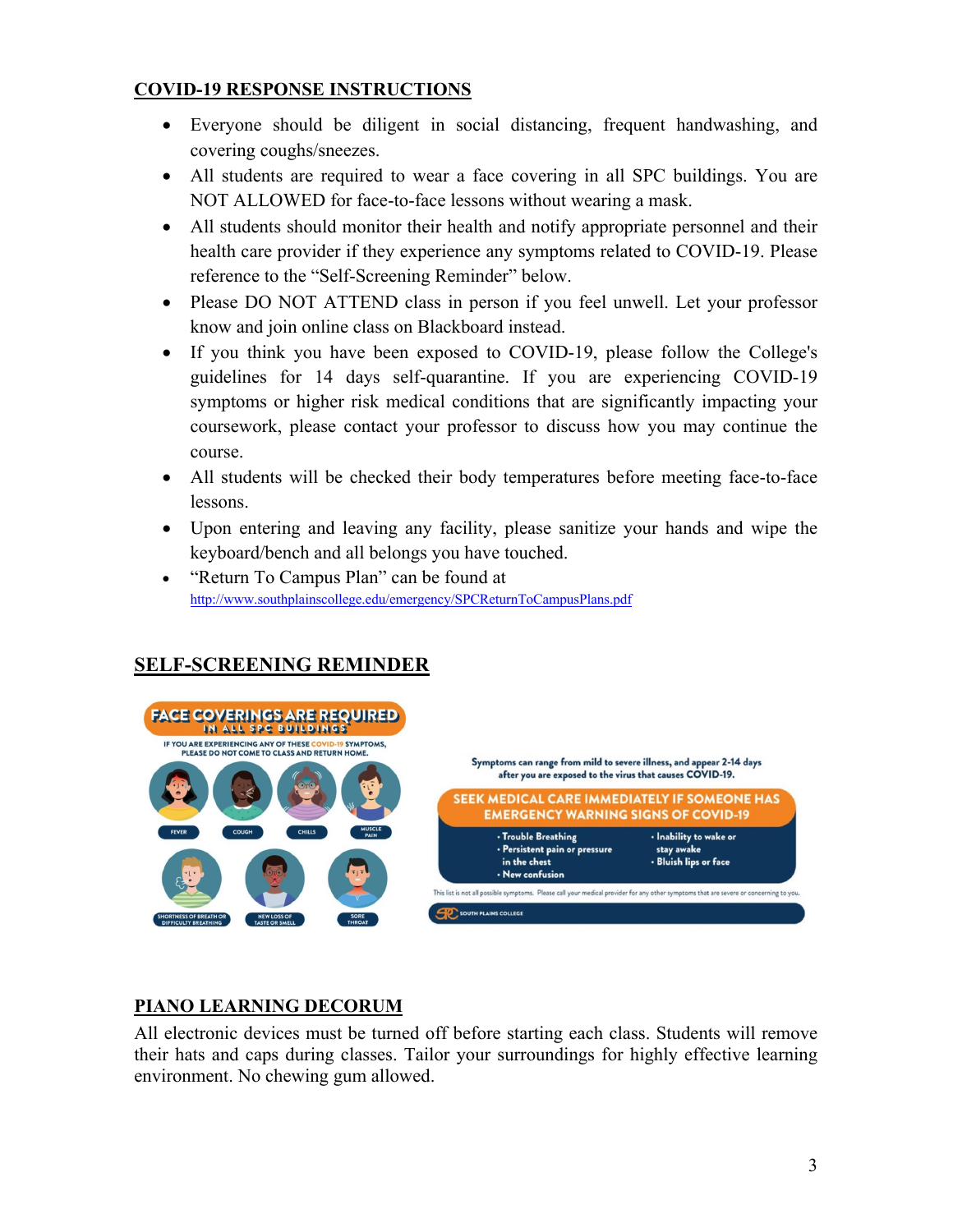## **COVID-19 RESPONSE INSTRUCTIONS**

- Everyone should be diligent in social distancing, frequent handwashing, and covering coughs/sneezes.
- All students are required to wear a face covering in all SPC buildings. You are NOT ALLOWED for face-to-face lessons without wearing a mask.
- All students should monitor their health and notify appropriate personnel and their health care provider if they experience any symptoms related to COVID-19. Please reference to the "Self-Screening Reminder" below.
- Please DO NOT ATTEND class in person if you feel unwell. Let your professor know and join online class on Blackboard instead.
- If you think you have been exposed to COVID-19, please follow the College's guidelines for 14 days self-quarantine. If you are experiencing COVID-19 symptoms or higher risk medical conditions that are significantly impacting your coursework, please contact your professor to discuss how you may continue the course.
- All students will be checked their body temperatures before meeting face-to-face lessons.
- Upon entering and leaving any facility, please sanitize your hands and wipe the keyboard/bench and all belongs you have touched.
- "Return To Campus Plan" can be found at http://www.southplainscollege.edu/emergency/SPCReturnToCampusPlans.pdf



## **SELF-SCREENING REMINDER**

### **PIANO LEARNING DECORUM**

All electronic devices must be turned off before starting each class. Students will remove their hats and caps during classes. Tailor your surroundings for highly effective learning environment. No chewing gum allowed.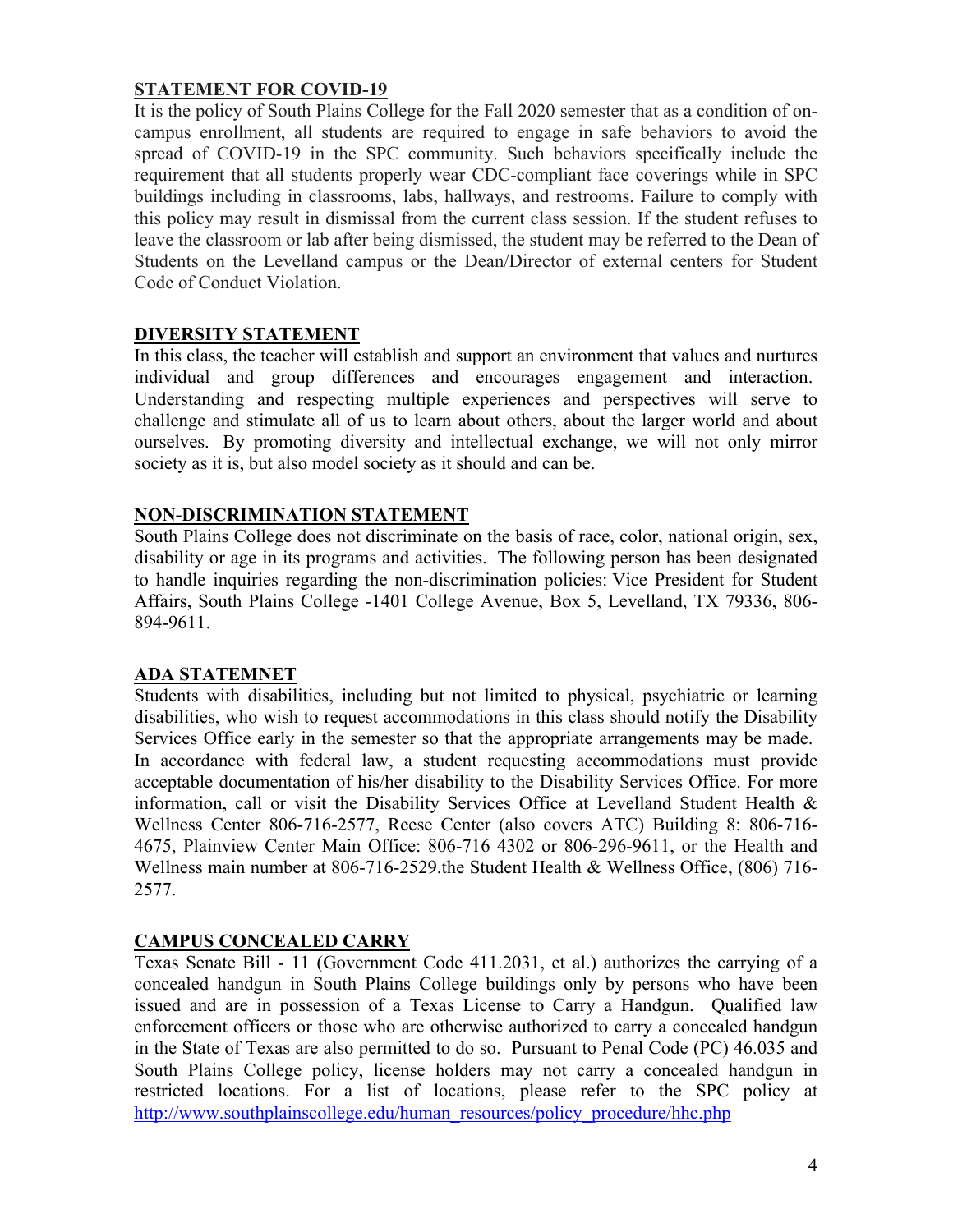## **STATEMENT FOR COVID-19**

It is the policy of South Plains College for the Fall 2020 semester that as a condition of oncampus enrollment, all students are required to engage in safe behaviors to avoid the spread of COVID-19 in the SPC community. Such behaviors specifically include the requirement that all students properly wear CDC-compliant face coverings while in SPC buildings including in classrooms, labs, hallways, and restrooms. Failure to comply with this policy may result in dismissal from the current class session. If the student refuses to leave the classroom or lab after being dismissed, the student may be referred to the Dean of Students on the Levelland campus or the Dean/Director of external centers for Student Code of Conduct Violation.

### **DIVERSITY STATEMENT**

In this class, the teacher will establish and support an environment that values and nurtures individual and group differences and encourages engagement and interaction. Understanding and respecting multiple experiences and perspectives will serve to challenge and stimulate all of us to learn about others, about the larger world and about ourselves. By promoting diversity and intellectual exchange, we will not only mirror society as it is, but also model society as it should and can be.

#### **NON-DISCRIMINATION STATEMENT**

South Plains College does not discriminate on the basis of race, color, national origin, sex, disability or age in its programs and activities. The following person has been designated to handle inquiries regarding the non-discrimination policies: Vice President for Student Affairs, South Plains College -1401 College Avenue, Box 5, Levelland, TX 79336, 806- 894-9611.

### **ADA STATEMNET**

Students with disabilities, including but not limited to physical, psychiatric or learning disabilities, who wish to request accommodations in this class should notify the Disability Services Office early in the semester so that the appropriate arrangements may be made. In accordance with federal law, a student requesting accommodations must provide acceptable documentation of his/her disability to the Disability Services Office. For more information, call or visit the Disability Services Office at Levelland Student Health & Wellness Center 806-716-2577, Reese Center (also covers ATC) Building 8: 806-716- 4675, Plainview Center Main Office: 806-716 4302 or 806-296-9611, or the Health and Wellness main number at 806-716-2529.the Student Health & Wellness Office, (806) 716- 2577.

### **CAMPUS CONCEALED CARRY**

Texas Senate Bill - 11 (Government Code 411.2031, et al.) authorizes the carrying of a concealed handgun in South Plains College buildings only by persons who have been issued and are in possession of a Texas License to Carry a Handgun. Qualified law enforcement officers or those who are otherwise authorized to carry a concealed handgun in the State of Texas are also permitted to do so. Pursuant to Penal Code (PC) 46.035 and South Plains College policy, license holders may not carry a concealed handgun in restricted locations. For a list of locations, please refer to the SPC policy at http://www.southplainscollege.edu/human\_resources/policy\_procedure/hhc.php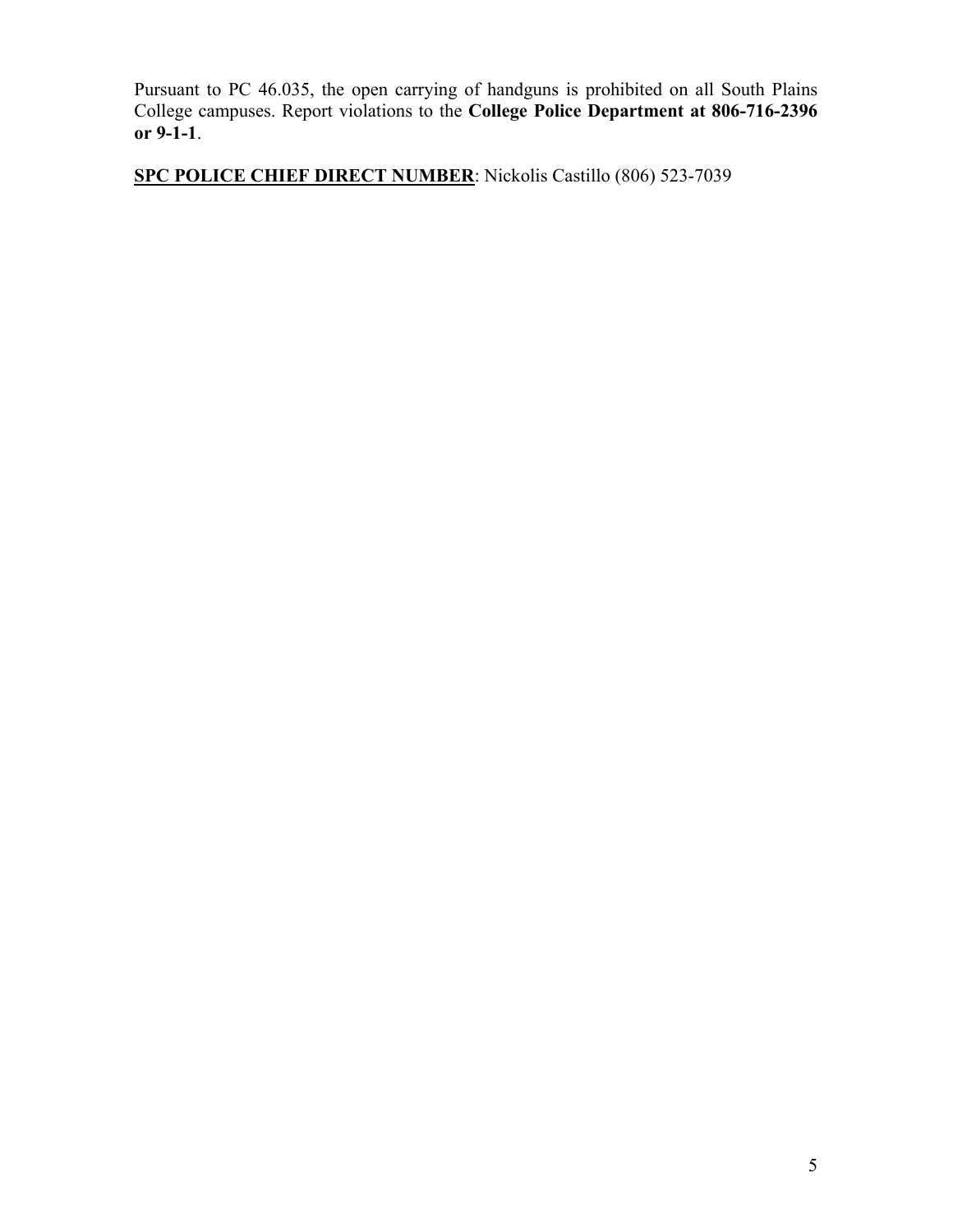Pursuant to PC 46.035, the open carrying of handguns is prohibited on all South Plains College campuses. Report violations to the **College Police Department at 806-716-2396 or 9-1-1**.

**SPC POLICE CHIEF DIRECT NUMBER**: Nickolis Castillo (806) 523-7039